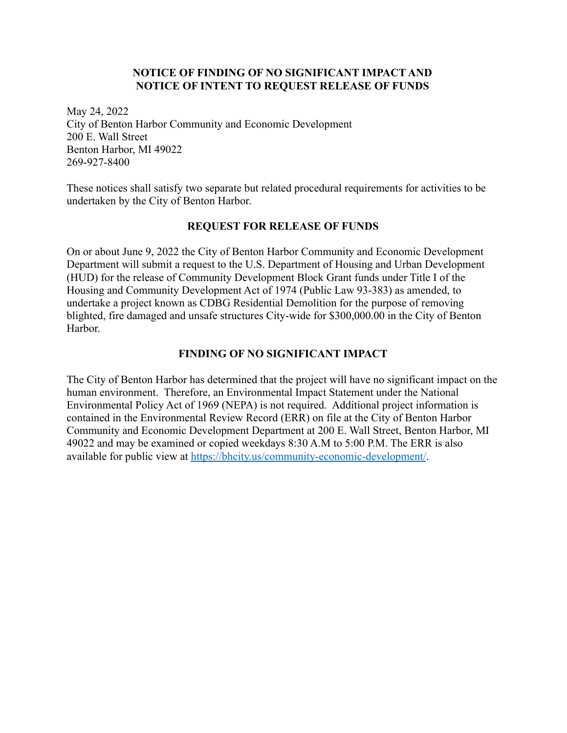# **NOTICE OF FINDING OF NO SIGNIFICANT IMPACT AND NOTICE OF INTENT TO REQUEST RELEASE OF FUNDS**

May 24, 2022 City of Benton Harbor Community and Economic Development 200 E. Wall Street Benton Harbor, MI 49022 269-927-8400

These notices shall satisfy two separate but related procedural requirements for activities to be undertaken by the City of Benton Harbor.

# **REQUEST FOR RELEASE OF FUNDS**

On or about June 9, 2022 the City of Benton Harbor Community and Economic Development Department will submit a request to the U.S. Department of Housing and Urban Development (HUD) for the release of Community Development Block Grant funds under Title I of the Housing and Community Development Act of 1974 (Public Law 93-383) as amended, to undertake a project known as CDBG Residential Demolition for the purpose of removing blighted, fire damaged and unsafe structures City-wide for \$300,000.00 in the City of Benton Harbor.

# **FINDING OF NO SIGNIFICANT IMPACT**

The City of Benton Harbor has determined that the project will have no significant impact on the human environment. Therefore, an Environmental Impact Statement under the National Environmental Policy Act of 1969 (NEPA) is not required. Additional project information is contained in the Environmental Review Record (ERR) on file at the City of Benton Harbor Community and Economic Development Department at 200 E. Wall Street, Benton Harbor, MI 49022 and may be examined or copied weekdays 8:30 A.M to 5:00 P.M. The ERR is also available for public view at <https://bhcity.us/community-economic-development/>.